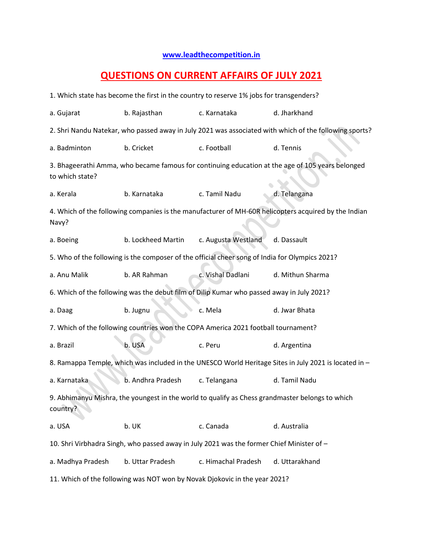## **[www.leadthecompetition.in](http://www.leadthecompetition.in/)**

## **QUESTIONS ON CURRENT AFFAIRS OF JULY 2021**

| 1. Which state has become the first in the country to reserve 1% jobs for transgenders?                             |                    |                     |                  |  |  |  |  |  |
|---------------------------------------------------------------------------------------------------------------------|--------------------|---------------------|------------------|--|--|--|--|--|
| a. Gujarat                                                                                                          | b. Rajasthan       | c. Karnataka        | d. Jharkhand     |  |  |  |  |  |
| 2. Shri Nandu Natekar, who passed away in July 2021 was associated with which of the following sports?              |                    |                     |                  |  |  |  |  |  |
| a. Badminton                                                                                                        | b. Cricket         | c. Football         | d. Tennis        |  |  |  |  |  |
| 3. Bhageerathi Amma, who became famous for continuing education at the age of 105 years belonged<br>to which state? |                    |                     |                  |  |  |  |  |  |
| a. Kerala                                                                                                           | b. Karnataka       | c. Tamil Nadu       | d. Telangana     |  |  |  |  |  |
| 4. Which of the following companies is the manufacturer of MH-60R helicopters acquired by the Indian<br>Navy?       |                    |                     |                  |  |  |  |  |  |
| a. Boeing                                                                                                           | b. Lockheed Martin | c. Augusta Westland | d. Dassault      |  |  |  |  |  |
| 5. Who of the following is the composer of the official cheer song of India for Olympics 2021?                      |                    |                     |                  |  |  |  |  |  |
| a. Anu Malik                                                                                                        | b. AR Rahman       | c. Vishal Dadlani   | d. Mithun Sharma |  |  |  |  |  |
| 6. Which of the following was the debut film of Dilip Kumar who passed away in July 2021?                           |                    |                     |                  |  |  |  |  |  |
| a. Daag                                                                                                             | b. Jugnu           | c. Mela             | d. Jwar Bhata    |  |  |  |  |  |
| 7. Which of the following countries won the COPA America 2021 football tournament?                                  |                    |                     |                  |  |  |  |  |  |
| a. Brazil                                                                                                           | b. USA             | c. Peru             | d. Argentina     |  |  |  |  |  |
| 8. Ramappa Temple, which was included in the UNESCO World Heritage Sites in July 2021 is located in -               |                    |                     |                  |  |  |  |  |  |
| a. Karnataka                                                                                                        | b. Andhra Pradesh  | c. Telangana        | d. Tamil Nadu    |  |  |  |  |  |
| 9. Abhimanyu Mishra, the youngest in the world to qualify as Chess grandmaster belongs to which<br>country?         |                    |                     |                  |  |  |  |  |  |
| a. USA                                                                                                              | b. UK              | c. Canada           | d. Australia     |  |  |  |  |  |
| 10. Shri Virbhadra Singh, who passed away in July 2021 was the former Chief Minister of -                           |                    |                     |                  |  |  |  |  |  |
| a. Madhya Pradesh                                                                                                   | b. Uttar Pradesh   | c. Himachal Pradesh | d. Uttarakhand   |  |  |  |  |  |
| 11. Which of the following was NOT won by Novak Djokovic in the year 2021?                                          |                    |                     |                  |  |  |  |  |  |